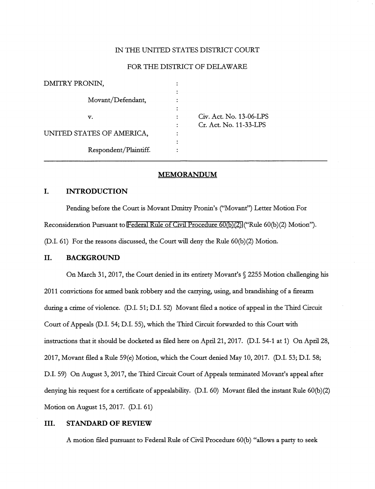#### IN THE UNITED STATES DISTRICT COURT

#### FOR THE DISTRICT OF DELAWARE

| DMITRY PRONIN,            |  |
|---------------------------|--|
|                           |  |
| Movant/Defendant,         |  |
|                           |  |
| v.                        |  |
|                           |  |
| UNITED STATES OF AMERICA, |  |
|                           |  |
| Respondent/Plaintiff.     |  |
|                           |  |

v. Act. No. 13-06-LPS : Act. No. 11-33-LPS

#### MEMORANDUM

## I. INTRODUCTION

Pending before the Court is Movant Dmitry Pronin's ("Movant") Letter Motion For Reconsideration Pursuant to [Federal Rule of Civil Procedure 60\(b\)\(2\) \(](http://www.google.com/search?q=FRCP+60(b)(2))"Rule 60(b)(2) Motion"). (D.I. 61) For the reasons discussed, the Court will deny the Rule 60(b)(2) Motion.

## II. BACKGROUND

On March 31, 2017, the Court denied in its entirety Movant's § 2255 Motion challenging his 2011 convictions for armed bank robbery and the carrying, using, and brandishing of a firearm during a crime of violence. (D.I. 51; D.I. 52) Movant filed a notice of appeal in the Third Circuit Court of Appeals (D.I. 54; D.I. 55), which the Third Circuit forwarded to this Court with instructions that it should be docketed as filed here on April 21,2017. (D.I. 54-1 at 1) On April 28, 2017, Movant filed a Rule 59(e) Motion, which the Court denied May 10, 2017. (D.I. 53; D.I. 58; D.I. 59) On August 3, 2017, the Third Circuit Court of Appeals terminated Movant's appeal after denying his request for a certificate of appealability. (D.I. 60) Movant filed the instant Rule 60(b)(2) Motion on August 15, 2017. (D.I. 61)

## III. STANDARD OF REVIEW

A motion filed pursuant to Federal Rule of Civil Procedure 60(b) "allows a party to seek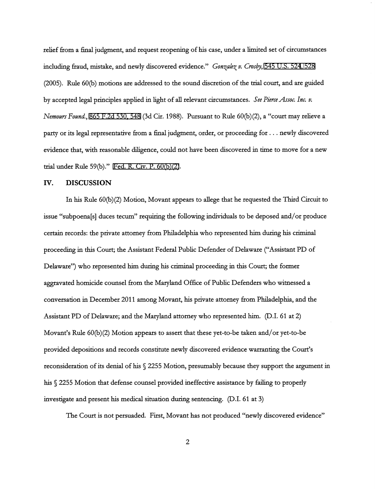relief fcom a final judgment, and request reopening of his case, under a limited set of circumstances including fraud, mistake, and newly discovered evidence." Gonzalez v. Crosby, [545 U.S. 524](http://www.google.com/search?q=545+u.s.524)[, 5](http://scholar.google.com/scholar?q=545+u.s.524&btnG=&hl=en&as_sdt=6)[28](http://www.google.com/search?q=528) (2005). Rule 60(b) motions are addressed to the sound discretion of the trial court, and are guided by accepted legal principles applied in light of all relevant circumstances. See Pierce Assoc. Inc. v. Nemours Found., [865 F.2d 530, 548](http://scholar.google.com/scholar?q=865+f.2d+530&btnG=&hl=en&as_sdt=6) (3d Cir. 1988). Pursuant to Rule 60(b)(2), a "court may relieve a party or its legal representative from a final judgment, order, or proceeding for ... newly discovered evidence that, with reasonable diligence, could not have been discovered in time to move for a new trial under Rule 59(b)." Fed. R. Civ. P.  $60(b)(2)$ .

#### IV. DISCUSSION

In his Rule 60(b)(2) Motion, Movant appears to allege that he requested the Third Circuit to issue "subpoena[s] duces tecum" requiring the following individuals to be deposed and/or produce certain records: the private attorney from Philadelphia who represented him during his criminal proceeding in this Court; the Assistant Federal Public Defender of Delaware ("Assistant PD of Delaware") who represented him during his criminal proceeding in this Court; the former aggravated homicide counsel from the Maryland Office of Public Defenders who witnessed a conversation in December 2011 among Movant, his private attorney from Philadelphia, and the Assistant PD of Delaware; and the Maryland attorney who represented him. (D.I. 61 at 2) Movant's Rule 60(b)(2) Motion appears to assert that these yet-to-be taken and/or yet-to-be provided depositions and records constitute newly discovered evidence warranting the Court's reconsideration of its denial of his § 2255 Motion, presumably because they support the argument in his § 2255 Motion that defense counsel provided ineffective assistance by failing to properly investigate and present his medical situation during sentencing. (D.I. 61 at 3)

The Court is not persuaded. First, Movant has not produced "newly discovered evidence"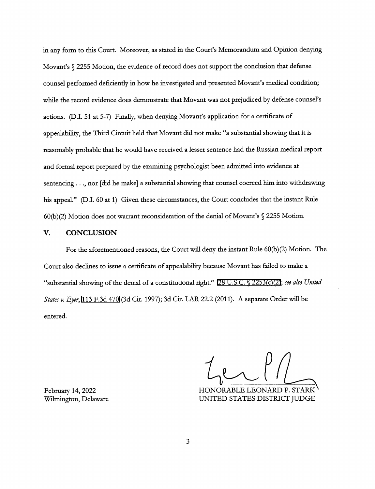in any form to this Court. Moreover, as stated in the Court's Memorandum and Opinion denying Movant's § 2255 Motion, the evidence of record does not support the conclusion that defense counsel performed deficiently in how he investigated and presented Movant's medical condition; while the record evidence does demonstrate that Movant was not prejudiced by defense counsel's actions. (D.L 51 at 5-7) Finally, when denying Movant's application for a certificate of appealability, the Third Circuit held that Movant did not make "a substantial showing that it is reasonably probable that he would have received a lesser sentence had the Russian medical report and formal report prepared by the examining psychologist been admitted into evidence at sentencing  $\dots$ , nor [did he make] a substantial showing that counsel coerced him into withdrawing his appeal." (D.I. 60 at 1) Given these circumstances, the Court concludes that the instant Rule 60(b)(2) Motion does not warrant reconsideration of the denial of Movant's § 2255 Motion.

## V. CONCLUSION

For the aforementioned reasons, the Court will deny the instant Rule 60(b)(2) Motion. The Court also declines to issue a certificate of appealability because Movant has failed to make a "substantial showing of the denial of a constitutional right." [28 U.S.C. § 2253\(c\)\(2\)](http://www.google.com/search?q=28+u.s.c.+2253(c)(2)); see also United States v. Eyer, [113 F.3d 470](http://scholar.google.com/scholar?q=113+f.3d+470&btnG=&hl=en&as_sdt=6) (3d Cir. 1997); 3d Cir. LAR 22.2 (2011). A separate Order will be entered.

February 14, 2022 HONORABLE LEONARD P. STARK Wilmington, Delaware UNITED STATES DISTRICT JUDGE